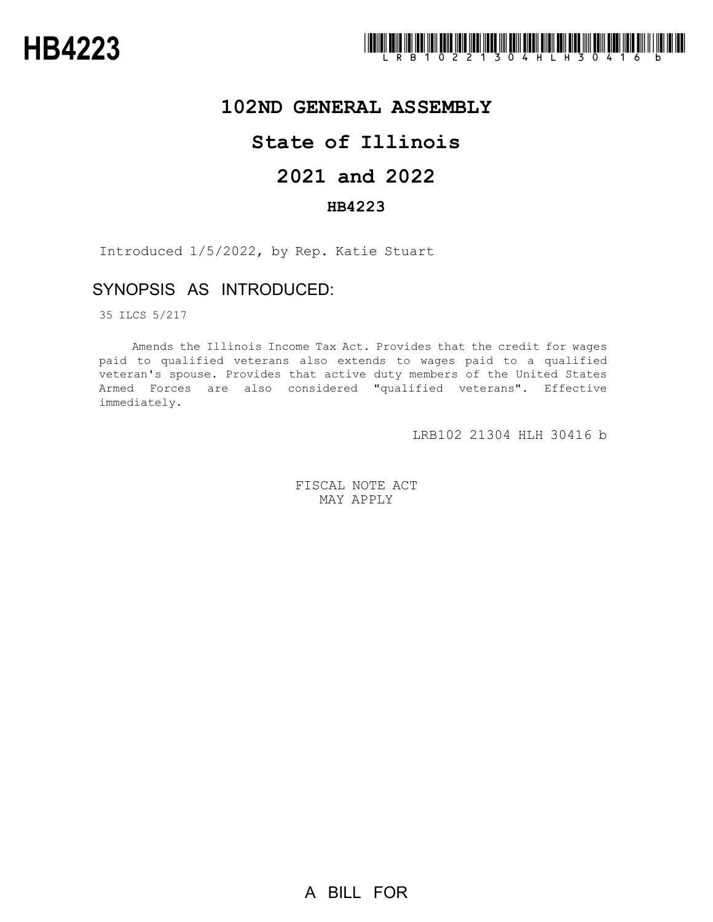

## **102ND GENERAL ASSEMBLY**

# **State of Illinois**

# **2021 and 2022**

### **HB4223**

Introduced 1/5/2022, by Rep. Katie Stuart

### SYNOPSIS AS INTRODUCED:

35 ILCS 5/217

Amends the Illinois Income Tax Act. Provides that the credit for wages paid to qualified veterans also extends to wages paid to a qualified veteran's spouse. Provides that active duty members of the United States Armed Forces are also considered "qualified veterans". Effective immediately.

LRB102 21304 HLH 30416 b

FISCAL NOTE ACT MAY APPLY

A BILL FOR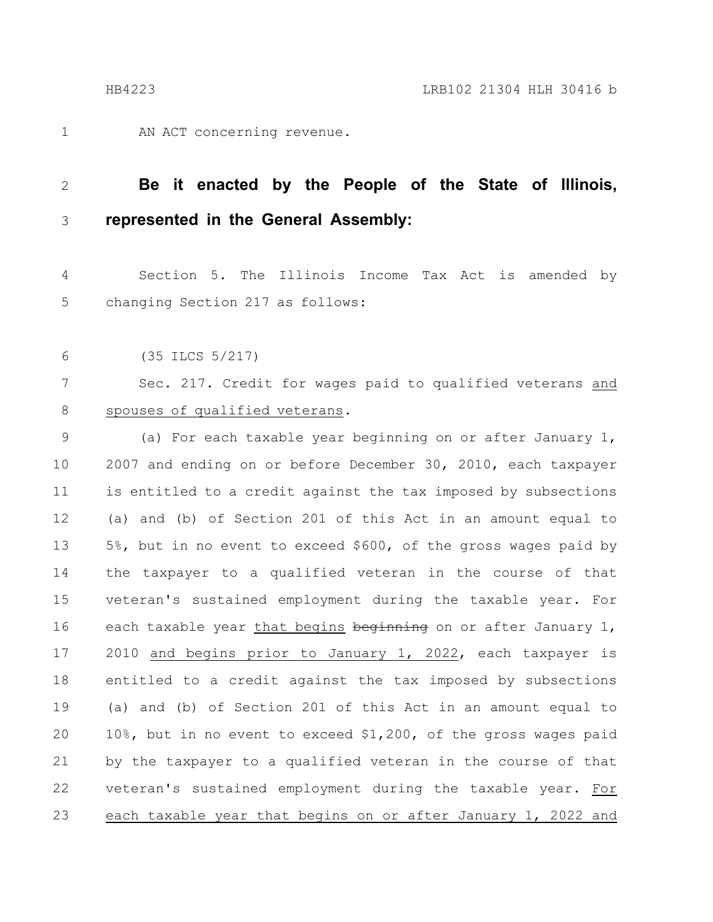1

AN ACT concerning revenue.

#### **Be it enacted by the People of the State of Illinois, represented in the General Assembly:** 2 3

Section 5. The Illinois Income Tax Act is amended by changing Section 217 as follows: 4 5

(35 ILCS 5/217) 6

Sec. 217. Credit for wages paid to qualified veterans and spouses of qualified veterans. 7 8

(a) For each taxable year beginning on or after January 1, 2007 and ending on or before December 30, 2010, each taxpayer is entitled to a credit against the tax imposed by subsections (a) and (b) of Section 201 of this Act in an amount equal to 5%, but in no event to exceed \$600, of the gross wages paid by the taxpayer to a qualified veteran in the course of that veteran's sustained employment during the taxable year. For each taxable year that begins beginning on or after January 1, 2010 and begins prior to January 1, 2022, each taxpayer is entitled to a credit against the tax imposed by subsections (a) and (b) of Section 201 of this Act in an amount equal to 10%, but in no event to exceed \$1,200, of the gross wages paid by the taxpayer to a qualified veteran in the course of that veteran's sustained employment during the taxable year. For each taxable year that begins on or after January 1, 2022 and 9 10 11 12 13 14 15 16 17 18 19 20 21 22 23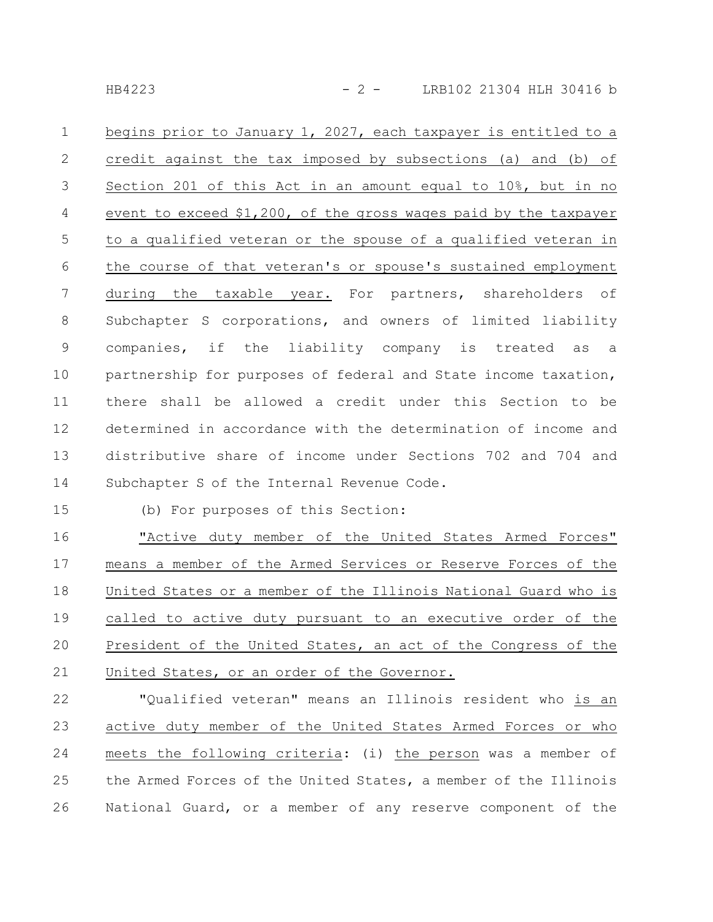HB4223 - 2 - LRB102 21304 HLH 30416 b

begins prior to January 1, 2027, each taxpayer is entitled to a credit against the tax imposed by subsections (a) and (b) of Section 201 of this Act in an amount equal to 10%, but in no event to exceed \$1,200, of the gross wages paid by the taxpayer to a qualified veteran or the spouse of a qualified veteran in the course of that veteran's or spouse's sustained employment during the taxable year. For partners, shareholders of Subchapter S corporations, and owners of limited liability companies, if the liability company is treated as a partnership for purposes of federal and State income taxation, there shall be allowed a credit under this Section to be determined in accordance with the determination of income and distributive share of income under Sections 702 and 704 and Subchapter S of the Internal Revenue Code. 1 2 3 4 5 6 7 8 9 10 11 12 13 14

15

(b) For purposes of this Section:

"Active duty member of the United States Armed Forces" means a member of the Armed Services or Reserve Forces of the United States or a member of the Illinois National Guard who is called to active duty pursuant to an executive order of the President of the United States, an act of the Congress of the United States, or an order of the Governor. 16 17 18 19 20 21

"Qualified veteran" means an Illinois resident who is an active duty member of the United States Armed Forces or who meets the following criteria: (i) the person was a member of the Armed Forces of the United States, a member of the Illinois National Guard, or a member of any reserve component of the 22 23 24 25 26